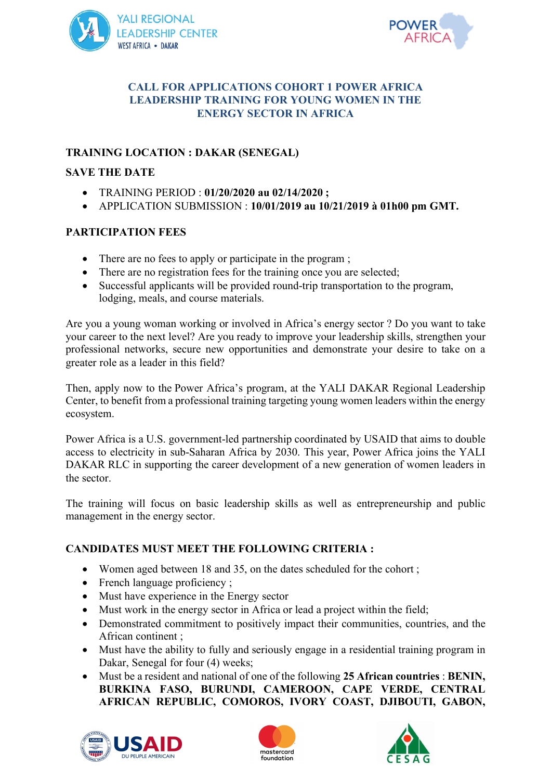



### **CALL FOR APPLICATIONS COHORT 1 POWER AFRICA LEADERSHIP TRAINING FOR YOUNG WOMEN IN THE ENERGY SECTOR IN AFRICA**

## **TRAINING LOCATION : DAKAR (SENEGAL)**

### **SAVE THE DATE**

- TRAINING PERIOD : **01/20/2020 au 02/14/2020 ;**
- APPLICATION SUBMISSION : **10/01/2019 au 10/21/2019 à 01h00 pm GMT.**

## **PARTICIPATION FEES**

- There are no fees to apply or participate in the program;
- There are no registration fees for the training once you are selected;
- Successful applicants will be provided round-trip transportation to the program, lodging, meals, and course materials.

Are you a young woman working or involved in Africa's energy sector ? Do you want to take your career to the next level? Are you ready to improve your leadership skills, strengthen your professional networks, secure new opportunities and demonstrate your desire to take on a greater role as a leader in this field?

Then, apply now to the Power Africa's program, at the YALI DAKAR Regional Leadership Center, to benefit from a professional training targeting young women leaders within the energy ecosystem.

Power Africa is a U.S. government-led partnership coordinated by USAID that aims to double access to electricity in sub-Saharan Africa by 2030. This year, Power Africa joins the YALI DAKAR RLC in supporting the career development of a new generation of women leaders in the sector.

The training will focus on basic leadership skills as well as entrepreneurship and public management in the energy sector.

# **CANDIDATES MUST MEET THE FOLLOWING CRITERIA :**

- Women aged between 18 and 35, on the dates scheduled for the cohort;
- French language proficiency :
- Must have experience in the Energy sector
- Must work in the energy sector in Africa or lead a project within the field;
- Demonstrated commitment to positively impact their communities, countries, and the African continent ;
- Must have the ability to fully and seriously engage in a residential training program in Dakar, Senegal for four (4) weeks;
- Must be a resident and national of one of the following **25 African countries** : **BENIN, BURKINA FASO, BURUNDI, CAMEROON, CAPE VERDE, CENTRAL AFRICAN REPUBLIC, COMOROS, IVORY COAST, DJIBOUTI, GABON,**